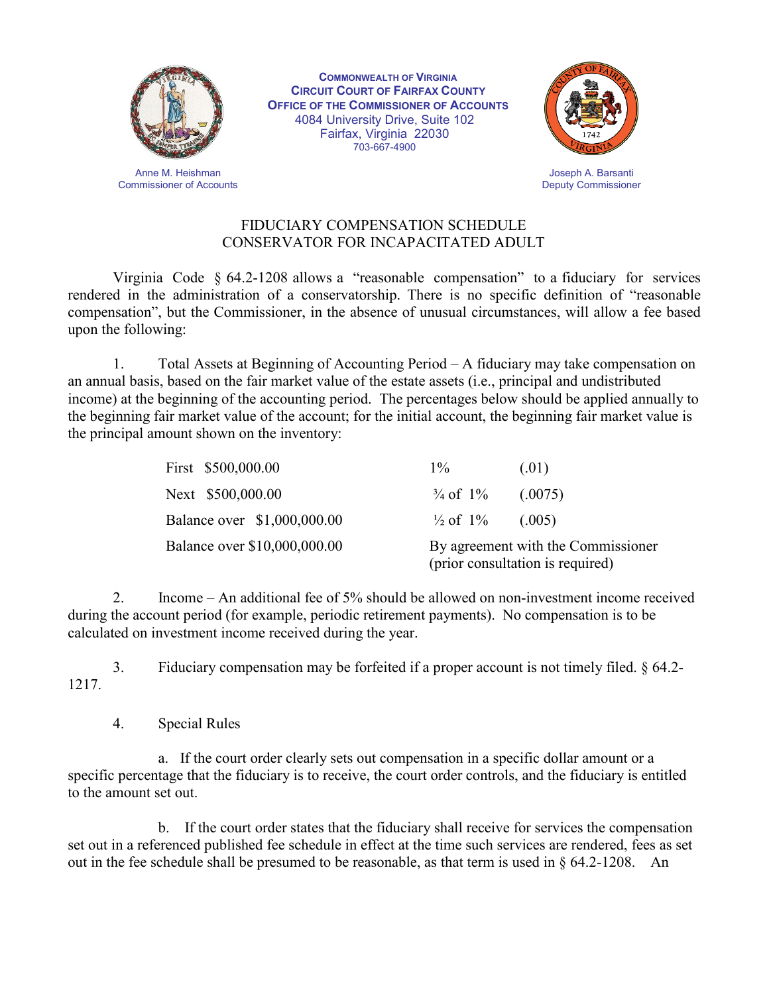

**COMMONWEALTH OF VIRGINIA CIRCUIT COURT OF FAIRFAX COUNTY OFFICE OF THE COMMISSIONER OF ACCOUNTS** 4084 University Drive, Suite 102 Fairfax, Virginia 22030 703-667-4900



Joseph A. Barsanti Deputy Commissioner

## FIDUCIARY COMPENSATION SCHEDULE CONSERVATOR FOR INCAPACITATED ADULT

Virginia Code § 64.2-1208 allows a "reasonable compensation" to a fiduciary for services rendered in the administration of a conservatorship. There is no specific definition of "reasonable compensation", but the Commissioner, in the absence of unusual circumstances, will allow a fee based upon the following:

1. Total Assets at Beginning of Accounting Period – A fiduciary may take compensation on an annual basis, based on the fair market value of the estate assets (i.e., principal and undistributed income) at the beginning of the accounting period. The percentages below should be applied annually to the beginning fair market value of the account; for the initial account, the beginning fair market value is the principal amount shown on the inventory:

| First \$500,000.00           | $1\%$                                                                  | (.01)   |
|------------------------------|------------------------------------------------------------------------|---------|
| Next \$500,000.00            | $\frac{3}{4}$ of $\frac{1}{6}$                                         | (.0075) |
| Balance over \$1,000,000.00  | $\frac{1}{2}$ of 1% (.005)                                             |         |
| Balance over \$10,000,000.00 | By agreement with the Commissioner<br>(prior consultation is required) |         |

2. Income – An additional fee of 5% should be allowed on non-investment income received during the account period (for example, periodic retirement payments). No compensation is to be calculated on investment income received during the year.

1217. 3. Fiduciary compensation may be forfeited if a proper account is not timely filed. § 64.2-

4. Special Rules

a. If the court order clearly sets out compensation in a specific dollar amount or a specific percentage that the fiduciary is to receive, the court order controls, and the fiduciary is entitled to the amount set out.

b. If the court order states that the fiduciary shall receive for services the compensation set out in a referenced published fee schedule in effect at the time such services are rendered, fees as set out in the fee schedule shall be presumed to be reasonable, as that term is used in § 64.2-1208. An